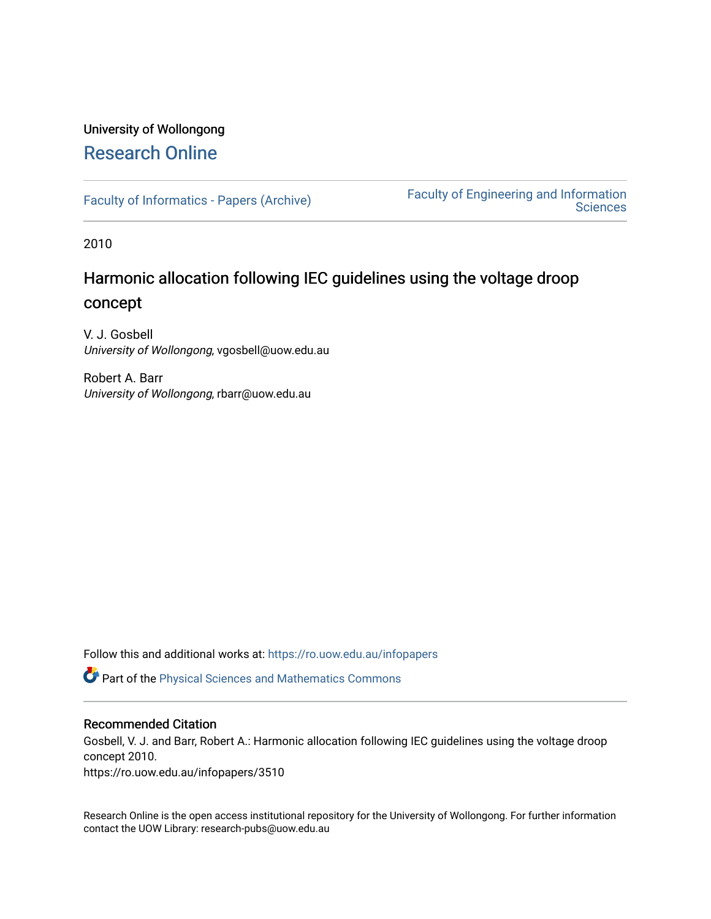# University of Wollongong [Research Online](https://ro.uow.edu.au/)

[Faculty of Informatics - Papers \(Archive\)](https://ro.uow.edu.au/infopapers) [Faculty of Engineering and Information](https://ro.uow.edu.au/eis)  **Sciences** 

2010

# Harmonic allocation following IEC guidelines using the voltage droop concept

V. J. Gosbell University of Wollongong, vgosbell@uow.edu.au

Robert A. Barr University of Wollongong, rbarr@uow.edu.au

Follow this and additional works at: [https://ro.uow.edu.au/infopapers](https://ro.uow.edu.au/infopapers?utm_source=ro.uow.edu.au%2Finfopapers%2F3510&utm_medium=PDF&utm_campaign=PDFCoverPages)

Part of the [Physical Sciences and Mathematics Commons](http://network.bepress.com/hgg/discipline/114?utm_source=ro.uow.edu.au%2Finfopapers%2F3510&utm_medium=PDF&utm_campaign=PDFCoverPages) 

## Recommended Citation

Gosbell, V. J. and Barr, Robert A.: Harmonic allocation following IEC guidelines using the voltage droop concept 2010.

https://ro.uow.edu.au/infopapers/3510

Research Online is the open access institutional repository for the University of Wollongong. For further information contact the UOW Library: research-pubs@uow.edu.au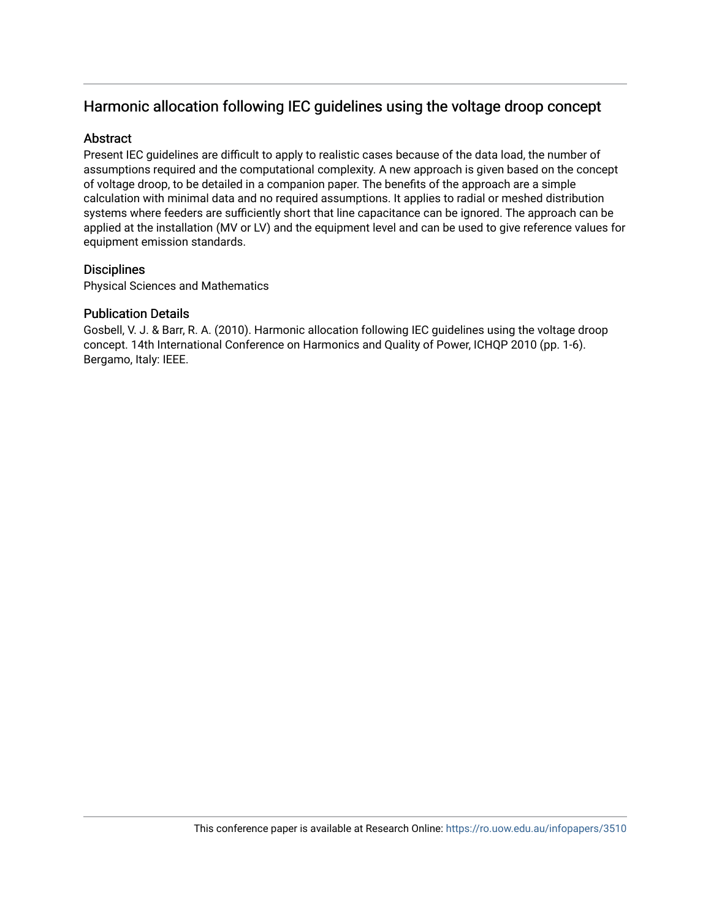# Harmonic allocation following IEC guidelines using the voltage droop concept

# **Abstract**

Present IEC guidelines are difficult to apply to realistic cases because of the data load, the number of assumptions required and the computational complexity. A new approach is given based on the concept of voltage droop, to be detailed in a companion paper. The benefits of the approach are a simple calculation with minimal data and no required assumptions. It applies to radial or meshed distribution systems where feeders are sufficiently short that line capacitance can be ignored. The approach can be applied at the installation (MV or LV) and the equipment level and can be used to give reference values for equipment emission standards.

# **Disciplines**

Physical Sciences and Mathematics

# Publication Details

Gosbell, V. J. & Barr, R. A. (2010). Harmonic allocation following IEC guidelines using the voltage droop concept. 14th International Conference on Harmonics and Quality of Power, ICHQP 2010 (pp. 1-6). Bergamo, Italy: IEEE.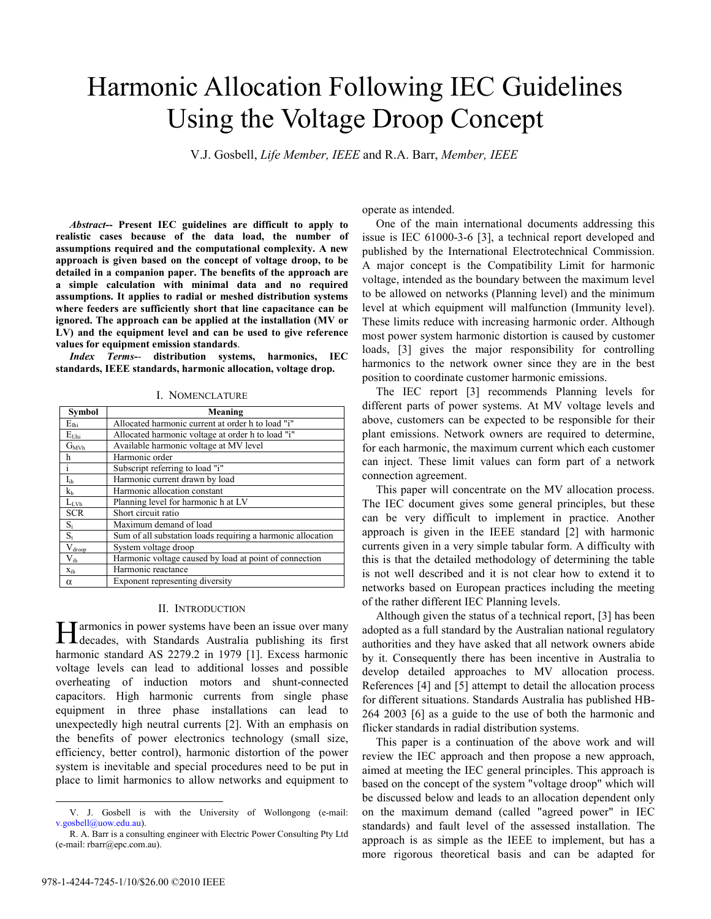# Harmonic Allocation Following IEC Guidelines Using the Voltage Droop Concept  $\overline{a}$

V.J. Gosbell, *Life Member, IEEE* and R.A. Barr, *Member, IEEE*

*Abstract***-- Present IEC guidelines are difficult to apply to realistic cases because of the data load, the number of assumptions required and the computational complexity. A new approach is given based on the concept of voltage droop, to be detailed in a companion paper. The benefits of the approach are a simple calculation with minimal data and no required assumptions. It applies to radial or meshed distribution systems where feeders are sufficiently short that line capacitance can be ignored. The approach can be applied at the installation (MV or LV) and the equipment level and can be used to give reference values for equipment emission standards**.

*Index Terms***-**- **distribution systems, harmonics, IEC standards, IEEE standards, harmonic allocation, voltage drop.**

#### I. NOMENCLATURE

| <b>Symbol</b>         | Meaning                                                     |  |
|-----------------------|-------------------------------------------------------------|--|
| $E_{I\underline{hi}}$ | Allocated harmonic current at order h to load "i"           |  |
| $E_{\rm Uni}$         | Allocated harmonic voltage at order h to load "i"           |  |
| $G_{M V h}$           | Available harmonic voltage at MV level                      |  |
| h                     | Harmonic order                                              |  |
| 1                     | Subscript referring to load "i"                             |  |
| $I_{ih}$              | Harmonic current drawn by load                              |  |
| $k_h$                 | Harmonic allocation constant                                |  |
| $L_{L}$ <sub>Vh</sub> | Planning level for harmonic h at LV                         |  |
| <b>SCR</b>            | Short circuit ratio                                         |  |
| $S_i$                 | Maximum demand of load                                      |  |
| $S_t$                 | Sum of all substation loads requiring a harmonic allocation |  |
| $V_{drop}$            | System voltage droop                                        |  |
| $\rm V_{ih}$          | Harmonic voltage caused by load at point of connection      |  |
| $X_{ih}$              | Harmonic reactance                                          |  |
| $\alpha$              | Exponent representing diversity                             |  |

#### II. INTRODUCTION

**Tarmonics in power systems have been an issue over many** Harmonics in power systems have been an issue over many decades, with Standards Australia publishing its first harmonic standard AS 2279.2 in 1979 [1]. Excess harmonic voltage levels can lead to additional losses and possible overheating of induction motors and shunt-connected capacitors. High harmonic currents from single phase equipment in three phase installations can lead to unexpectedly high neutral currents [2]. With an emphasis on the benefits of power electronics technology (small size, efficiency, better control), harmonic distortion of the power system is inevitable and special procedures need to be put in place to limit harmonics to allow networks and equipment to

operate as intended.

One of the main international documents addressing this issue is IEC 61000-3-6 [3], a technical report developed and published by the International Electrotechnical Commission. A major concept is the Compatibility Limit for harmonic voltage, intended as the boundary between the maximum level to be allowed on networks (Planning level) and the minimum level at which equipment will malfunction (Immunity level). These limits reduce with increasing harmonic order. Although most power system harmonic distortion is caused by customer loads, [3] gives the major responsibility for controlling harmonics to the network owner since they are in the best position to coordinate customer harmonic emissions.

The IEC report [3] recommends Planning levels for different parts of power systems. At MV voltage levels and above, customers can be expected to be responsible for their plant emissions. Network owners are required to determine, for each harmonic, the maximum current which each customer can inject. These limit values can form part of a network connection agreement.

This paper will concentrate on the MV allocation process. The IEC document gives some general principles, but these can be very difficult to implement in practice. Another approach is given in the IEEE standard [2] with harmonic currents given in a very simple tabular form. A difficulty with this is that the detailed methodology of determining the table is not well described and it is not clear how to extend it to networks based on European practices including the meeting of the rather different IEC Planning levels.

Although given the status of a technical report, [3] has been adopted as a full standard by the Australian national regulatory authorities and they have asked that all network owners abide by it. Consequently there has been incentive in Australia to develop detailed approaches to MV allocation process. References [4] and [5] attempt to detail the allocation process for different situations. Standards Australia has published HB-264 2003 [6] as a guide to the use of both the harmonic and flicker standards in radial distribution systems.

This paper is a continuation of the above work and will review the IEC approach and then propose a new approach, aimed at meeting the IEC general principles. This approach is based on the concept of the system "voltage droop" which will be discussed below and leads to an allocation dependent only on the maximum demand (called "agreed power" in IEC standards) and fault level of the assessed installation. The approach is as simple as the IEEE to implement, but has a more rigorous theoretical basis and can be adapted for

V. J. Gosbell is with the University of Wollongong (e-mail: v.gosbell@uow.edu.au).

R. A. Barr is a consulting engineer with Electric Power Consulting Pty Ltd (e-mail: rbarr@epc.com.au).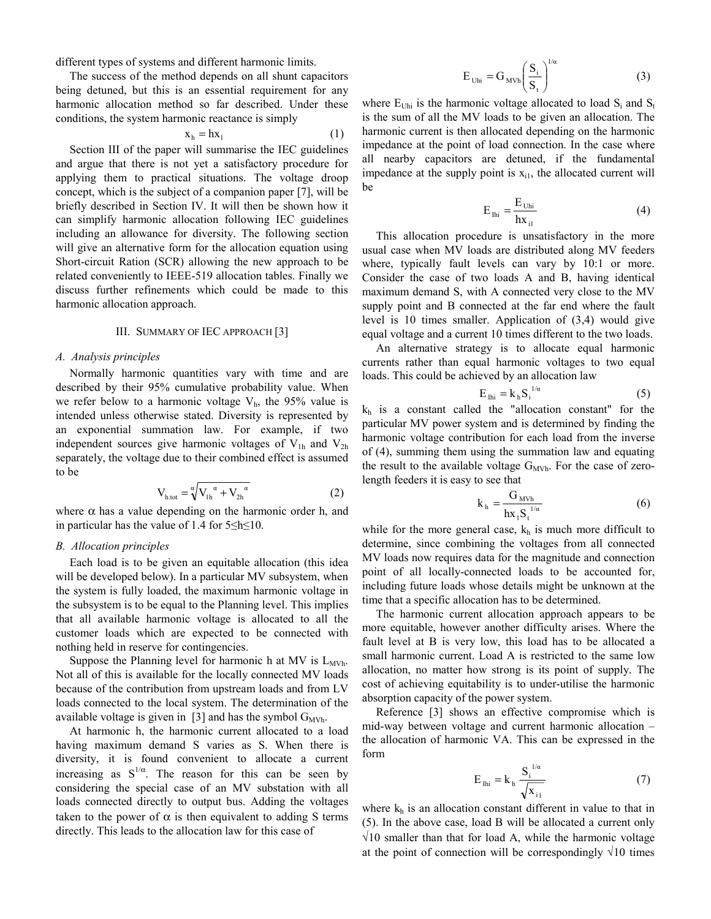different types of systems and different harmonic limits.

The success of the method depends on all shunt capacitors being detuned, but this is an essential requirement for any harmonic allocation method so far described. Under these conditions, the system harmonic reactance is simply

$$
\mathbf{x}_{h} = h\mathbf{x}_{1} \tag{1}
$$

Section III of the paper will summarise the IEC guidelines and argue that there is not yet a satisfactory procedure for applying them to practical situations. The voltage droop concept, which is the subject of a companion paper [7], will be briefly described in Section IV. It will then be shown how it can simplify harmonic allocation following IEC guidelines including an allowance for diversity. The following section will give an alternative form for the allocation equation using Short-circuit Ration (SCR) allowing the new approach to be related conveniently to IEEE-519 allocation tables. Finally we discuss further refinements which could be made to this harmonic allocation approach.

#### III. SUMMARY OF IEC APPROACH [3]

#### *A. Analysis principles*

Normally harmonic quantities vary with time and are described by their 95% cumulative probability value. When we refer below to a harmonic voltage  $V<sub>h</sub>$ , the 95% value is intended unless otherwise stated. Diversity is represented by an exponential summation law. For example, if two independent sources give harmonic voltages of  $V_{1h}$  and  $V_{2h}$ separately, the voltage due to their combined effect is assumed to be

$$
V_{h,tot} = \sqrt[\alpha]{V_{1h}^{\alpha} + V_{2h}^{\alpha}}
$$
 (2)

where  $\alpha$  has a value depending on the harmonic order h, and in particular has the value of 1.4 for 5≤h≤10.

#### *B. Allocation principles*

Each load is to be given an equitable allocation (this idea will be developed below). In a particular MV subsystem, when the system is fully loaded, the maximum harmonic voltage in the subsystem is to be equal to the Planning level. This implies that all available harmonic voltage is allocated to all the customer loads which are expected to be connected with nothing held in reserve for contingencies.

Suppose the Planning level for harmonic h at MV is  $L_{MVh}$ . Not all of this is available for the locally connected MV loads because of the contribution from upstream loads and from LV loads connected to the local system. The determination of the available voltage is given in [3] and has the symbol  $G_{MVh}$ .

At harmonic h, the harmonic current allocated to a load having maximum demand S varies as S. When there is diversity, it is found convenient to allocate a current increasing as  $S^{1/\alpha}$ . The reason for this can be seen by considering the special case of an MV substation with all loads connected directly to output bus. Adding the voltages taken to the power of  $\alpha$  is then equivalent to adding S terms directly. This leads to the allocation law for this case of

$$
E_{\text{Uni}} = G_{\text{MVh}} \left(\frac{S_i}{S_t}\right)^{1/\alpha} \tag{3}
$$

where  $E_{\text{Uni}}$  is the harmonic voltage allocated to load  $S_i$  and  $S_t$ is the sum of all the MV loads to be given an allocation. The harmonic current is then allocated depending on the harmonic impedance at the point of load connection. In the case where all nearby capacitors are detuned, if the fundamental impedance at the supply point is  $x_{i1}$ , the allocated current will be

$$
E_{\text{Ihi}} = \frac{E_{\text{Uhi}}}{hx_{i1}} \tag{4}
$$

This allocation procedure is unsatisfactory in the more usual case when MV loads are distributed along MV feeders where, typically fault levels can vary by 10:1 or more. Consider the case of two loads A and B, having identical maximum demand S, with A connected very close to the MV supply point and B connected at the far end where the fault level is 10 times smaller. Application of (3,4) would give equal voltage and a current 10 times different to the two loads.

An alternative strategy is to allocate equal harmonic currents rather than equal harmonic voltages to two equal loads. This could be achieved by an allocation law

$$
E_{\text{Ihi}} = k_{\text{h}} S_i^{1/\alpha} \tag{5}
$$

 $k_h$  is a constant called the "allocation constant" for the particular MV power system and is determined by finding the harmonic voltage contribution for each load from the inverse of (4), summing them using the summation law and equating the result to the available voltage  $G_{MVh}$ . For the case of zerolength feeders it is easy to see that

$$
k_h = \frac{G_{M V h}}{h x_1 S_t^{1/\alpha}}
$$
 (6)

while for the more general case,  $k_h$  is much more difficult to determine, since combining the voltages from all connected MV loads now requires data for the magnitude and connection point of all locally-connected loads to be accounted for, including future loads whose details might be unknown at the time that a specific allocation has to be determined.

The harmonic current allocation approach appears to be more equitable, however another difficulty arises. Where the fault level at B is very low, this load has to be allocated a small harmonic current. Load A is restricted to the same low allocation, no matter how strong is its point of supply. The cost of achieving equitability is to under-utilise the harmonic absorption capacity of the power system.

Reference [3] shows an effective compromise which is mid-way between voltage and current harmonic allocation – the allocation of harmonic VA. This can be expressed in the form

$$
E_{\text{Ihi}} = k_{\text{h}} \frac{S_i^{\frac{1}{a}}}{\sqrt{x_{i_1}}} \tag{7}
$$

where  $k_h$  is an allocation constant different in value to that in (5). In the above case, load B will be allocated a current only  $\sqrt{10}$  smaller than that for load A, while the harmonic voltage at the point of connection will be correspondingly  $\sqrt{10}$  times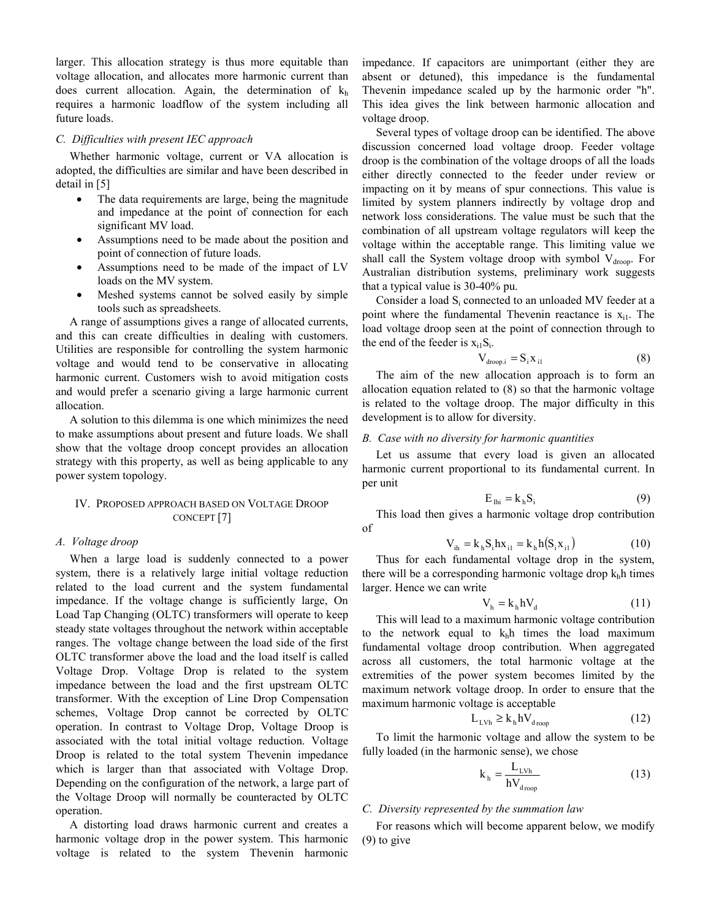larger. This allocation strategy is thus more equitable than voltage allocation, and allocates more harmonic current than does current allocation. Again, the determination of  $k_h$ requires a harmonic loadflow of the system including all future loads.

#### *C. Difficulties with present IEC approach*

Whether harmonic voltage, current or VA allocation is adopted, the difficulties are similar and have been described in detail in [5]

- The data requirements are large, being the magnitude and impedance at the point of connection for each significant MV load.
- Assumptions need to be made about the position and point of connection of future loads.
- Assumptions need to be made of the impact of LV loads on the MV system.
- Meshed systems cannot be solved easily by simple tools such as spreadsheets.

A range of assumptions gives a range of allocated currents, and this can create difficulties in dealing with customers. Utilities are responsible for controlling the system harmonic voltage and would tend to be conservative in allocating harmonic current. Customers wish to avoid mitigation costs and would prefer a scenario giving a large harmonic current allocation.

A solution to this dilemma is one which minimizes the need to make assumptions about present and future loads. We shall show that the voltage droop concept provides an allocation strategy with this property, as well as being applicable to any power system topology.

## IV. PROPOSED APPROACH BASED ON VOLTAGE DROOP CONCEPT [7]

#### *A. Voltage droop*

When a large load is suddenly connected to a power system, there is a relatively large initial voltage reduction related to the load current and the system fundamental impedance. If the voltage change is sufficiently large, On Load Tap Changing (OLTC) transformers will operate to keep steady state voltages throughout the network within acceptable ranges. The voltage change between the load side of the first OLTC transformer above the load and the load itself is called Voltage Drop. Voltage Drop is related to the system impedance between the load and the first upstream OLTC transformer. With the exception of Line Drop Compensation schemes, Voltage Drop cannot be corrected by OLTC operation. In contrast to Voltage Drop, Voltage Droop is associated with the total initial voltage reduction. Voltage Droop is related to the total system Thevenin impedance which is larger than that associated with Voltage Drop. Depending on the configuration of the network, a large part of the Voltage Droop will normally be counteracted by OLTC operation.

A distorting load draws harmonic current and creates a harmonic voltage drop in the power system. This harmonic voltage is related to the system Thevenin harmonic

impedance. If capacitors are unimportant (either they are absent or detuned), this impedance is the fundamental Thevenin impedance scaled up by the harmonic order "h". This idea gives the link between harmonic allocation and voltage droop. er they are<br>fundamental

Several types of voltage droop can be identified. The above discussion concerned load voltage droop. Feeder voltage droop is the combination of the voltage droops of all the loads either directly connected to the feeder under review or impacting on it by means of spur connections. This value is limited by system planners indirectly by voltage drop and network loss considerations. The value must be such that the combination of all upstream voltage regulators will keep the voltage within the acceptable range. This limiting value we shall call the System voltage droop with symbol  $V_{\text{drop}}$ . For Australian distribution systems, preliminary work suggests that a typical value is 30-40% pu.

Consider a load  $S_i$  connected to an unloaded MV feeder at a point where the fundamental Thevenin reactance is  $x_{i1}$ . The load voltage droop seen at the point of connection through to the end of the feeder is  $x_{i1}S_i$ .

$$
V_{\text{droop.i}} = S_i x_{i1} \tag{8}
$$

The aim of the new allocation approach is to form an allocation equation related to (8) so that the harmonic voltage is related to the voltage droop. The major difficulty in this development is to allow for diversity.

#### *B. Case with no diversity for harmonic quantities*

Let us assume that every load is given an allocated harmonic current proportional to its fundamental current. In per unit

$$
E_{\text{Ihi}} = k_{h} S_{i} \tag{9}
$$

This load then gives a harmonic voltage drop contribution of

$$
V_{ih} = k_h S_i h x_{i1} = k_h h (S_i x_{i1})
$$
 (10)

Thus for each fundamental voltage drop in the system, there will be a corresponding harmonic voltage drop  $k<sub>h</sub>$ h times larger. Hence we can write

$$
V_h = k_h h V_d \tag{11}
$$

This will lead to a maximum harmonic voltage contribution to the network equal to  $k<sub>h</sub>$  times the load maximum fundamental voltage droop contribution. When aggregated across all customers, the total harmonic voltage at the extremities of the power system becomes limited by the maximum network voltage droop. In order to ensure that the maximum harmonic voltage is acceptable

$$
L_{LVh} \ge k_h h V_{\text{drop}} \tag{12}
$$

To limit the harmonic voltage and allow the system to be fully loaded (in the harmonic sense), we chose

$$
k_h = \frac{L_{LVh}}{hV_{drop}}
$$
 (13)

#### *C. Diversity represented by the summation law*

For reasons which will become apparent below, we modify (9) to give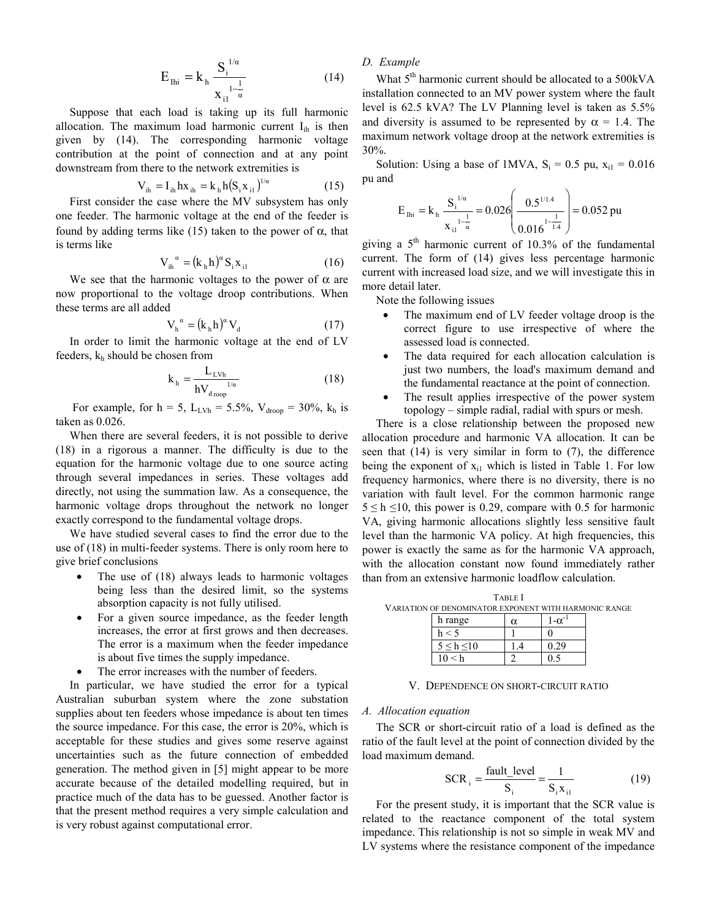$$
E_{\text{Ihi}} = k_{h} \frac{S_{i}^{1/\alpha}}{x_{i1}^{1-\frac{1}{\alpha}}}
$$
 (14)

Suppose that each load is taking up its full harmonic allocation. The maximum load harmonic current  $I_{ih}$  is then given by (14). The corresponding harmonic voltage contribution at the point of connection and at any point downstream from there to the network extremities is

$$
V_{ih} = I_{ih} h x_{ih} = k_h h (S_i x_{il})^{1/\alpha}
$$
 (15)

First consider the case where the MV subsystem has only one feeder. The harmonic voltage at the end of the feeder is found by adding terms like (15) taken to the power of α, that is terms like

$$
V_{ih}^{\alpha} = (k_h h)^{\alpha} S_i x_{i1}
$$
 (16)

We see that the harmonic voltages to the power of  $\alpha$  are now proportional to the voltage droop contributions. When these terms are all added

$$
V_h^{\alpha} = (k_h h)^{\alpha} V_d \tag{17}
$$

In order to limit the harmonic voltage at the end of LV feeders,  $k_h$  should be chosen from

$$
k_h = \frac{L_{LVh}}{hV_{d_{\text{roop}}}^{1/\alpha}}
$$
 (18)

For example, for  $h = 5$ ,  $L_{LVh} = 5.5\%$ ,  $V_{drop} = 30\%$ ,  $k_h$  is taken as 0.026.

When there are several feeders, it is not possible to derive (18) in a rigorous a manner. The difficulty is due to the equation for the harmonic voltage due to one source acting through several impedances in series. These voltages add directly, not using the summation law. As a consequence, the harmonic voltage drops throughout the network no longer exactly correspond to the fundamental voltage drops.

We have studied several cases to find the error due to the use of (18) in multi-feeder systems. There is only room here to give brief conclusions

- The use of (18) always leads to harmonic voltages being less than the desired limit, so the systems absorption capacity is not fully utilised.
- For a given source impedance, as the feeder length increases, the error at first grows and then decreases. The error is a maximum when the feeder impedance is about five times the supply impedance.
- The error increases with the number of feeders.

In particular, we have studied the error for a typical Australian suburban system where the zone substation supplies about ten feeders whose impedance is about ten times the source impedance. For this case, the error is 20%, which is acceptable for these studies and gives some reserve against uncertainties such as the future connection of embedded generation. The method given in [5] might appear to be more accurate because of the detailed modelling required, but in practice much of the data has to be guessed. Another factor is that the present method requires a very simple calculation and is very robust against computational error.

## *D. Example*

Example<br>What  $5<sup>th</sup>$  harmonic current should be allocated to a 500kVA installation connected to an MV power system where the fault level is 62.5 kVA? The LV Planning level is taken as 5.5% and diversity is assumed to be represented by  $\alpha = 1.4$ . The maximum network voltage droop at the network extremities is 30%.

Solution: Using a base of 1MVA,  $S_i = 0.5$  pu,  $x_{i1} = 0.016$ pu and

$$
E_{\text{Ihi}} = k_{\text{h}} \frac{S_i^{\frac{1}{\alpha}}}{x_{i1}^{\frac{1}{\alpha}}} = 0.026 \left( \frac{0.5^{1/1.4}}{0.016^{1-\frac{1}{1.4}}} \right) = 0.052 \text{ pu}
$$

giving a  $5<sup>th</sup>$  harmonic current of 10.3% of the fundamental current. The form of (14) gives less percentage harmonic current with increased load size, and we will investigate this in more detail later.

Note the following issues

- The maximum end of LV feeder voltage droop is the correct figure to use irrespective of where the assessed load is connected.
- The data required for each allocation calculation is just two numbers, the load's maximum demand and the fundamental reactance at the point of connection.
- The result applies irrespective of the power system topology – simple radial, radial with spurs or mesh.

There is a close relationship between the proposed new allocation procedure and harmonic VA allocation. It can be seen that (14) is very similar in form to (7), the difference being the exponent of  $x_{i1}$  which is listed in Table 1. For low frequency harmonics, where there is no diversity, there is no variation with fault level. For the common harmonic range  $5 \le h \le 10$ , this power is 0.29, compare with 0.5 for harmonic VA, giving harmonic allocations slightly less sensitive fault level than the harmonic VA policy. At high frequencies, this power is exactly the same as for the harmonic VA approach, with the allocation constant now found immediately rather than from an extensive harmonic loadflow calculation.

TABLE I VARIATION OF DENOMINATOR EXPONENT WITH HARMONIC RANGE

| h range            | α |  |
|--------------------|---|--|
| < ና                |   |  |
| $5 \leq h \leq 10$ |   |  |
| 10<br>$\lt h$      |   |  |

V. DEPENDENCE ON SHORT-CIRCUIT RATIO

#### *A. Allocation equation*

The SCR or short-circuit ratio of a load is defined as the ratio of the fault level at the point of connection divided by the load maximum demand.

$$
SCR_{i} = \frac{fault\_level}{S_{i}} = \frac{1}{S_{i}x_{i1}}
$$
 (19)

For the present study, it is important that the SCR value is related to the reactance component of the total system impedance. This relationship is not so simple in weak MV and LV systems where the resistance component of the impedance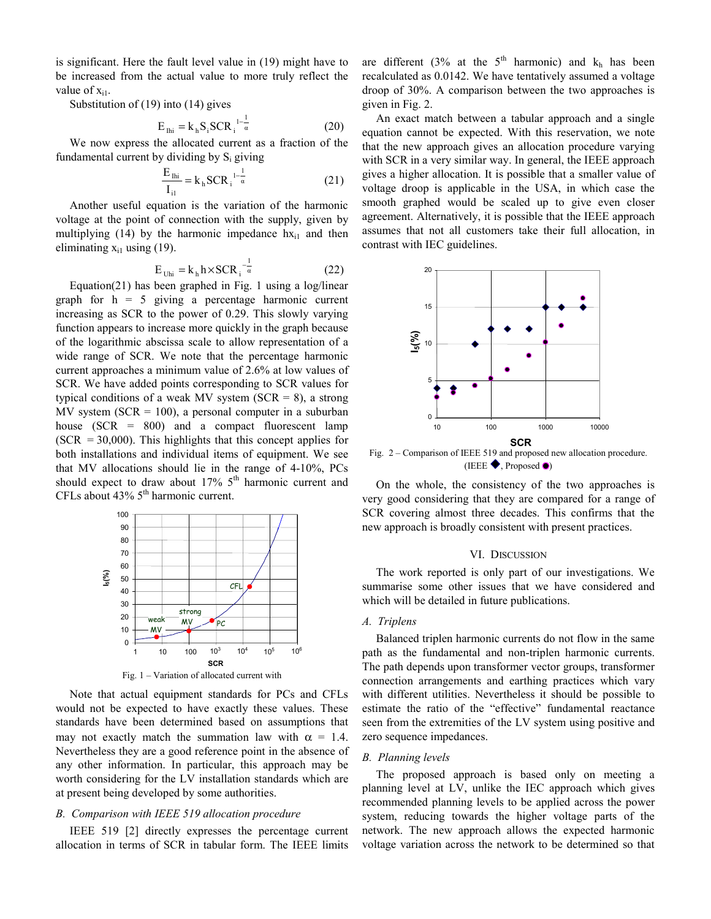is significant. Here the fault level value in (19) might have to be increased from the actual value to more truly reflect the value of  $x_{i1}$ .

Substitution of (19) into (14) gives

$$
E_{\text{1hi}} = k_{h} S_{i} S C R_{i}^{1 - \frac{1}{\alpha}}
$$
 (20)

We now express the allocated current as a fraction of the fundamental current by dividing by  $S_i$  giving

$$
\frac{E_{\text{Ihi}}}{I_{i1}} = k_{h} \text{SCR}_{i}^{1-\frac{1}{\alpha}}
$$
 (21)

Another useful equation is the variation of the harmonic voltage at the point of connection with the supply, given by multiplying (14) by the harmonic impedance  $hx_{i1}$  and then eliminating  $x_{i1}$  using (19).

$$
E_{\text{Uni}} = k_h h \times \text{SCR}_i^{-\frac{1}{\alpha}}
$$
 (22)

Equation(21) has been graphed in Fig. 1 using a log/linear graph for  $h = 5$  giving a percentage harmonic current increasing as SCR to the power of 0.29. This slowly varying function appears to increase more quickly in the graph because of the logarithmic abscissa scale to allow representation of a wide range of SCR. We note that the percentage harmonic current approaches a minimum value of 2.6% at low values of SCR. We have added points corresponding to SCR values for typical conditions of a weak MV system ( $SCR = 8$ ), a strong MV system ( $SCR = 100$ ), a personal computer in a suburban house (SCR = 800) and a compact fluorescent lamp  $(SCR = 30,000)$ . This highlights that this concept applies for both installations and individual items of equipment. We see that MV allocations should lie in the range of 4-10%, PCs should expect to draw about  $17\%$  5<sup>th</sup> harmonic current and CFLs about  $43\%$  5<sup>th</sup> harmonic current.



Note that actual equipment standards for PCs and CFLs would not be expected to have exactly these values. These standards have been determined based on assumptions that may not exactly match the summation law with  $\alpha = 1.4$ . Nevertheless they are a good reference point in the absence of any other information. In particular, this approach may be worth considering for the LV installation standards which are at present being developed by some authorities.

#### *B. Comparison with IEEE 519 allocation procedure*

IEEE 519 [2] directly expresses the percentage current allocation in terms of SCR in tabular form. The IEEE limits

are different (3% at the  $5<sup>th</sup>$  harmonic) and  $k<sub>h</sub>$  has been recalculated as 0.0142. We have tentatively assumed a voltage droop of 30%. A comparison between the two approaches is given in Fig. 2.  $\epsilon_{\rm h}$  has been<br>ed a voltage

An exact match between a tabular approach and a single equation cannot be expected. With this reservation, we note that the new approach gives an allocation procedure varying with SCR in a very similar way. In general, the IEEE approach gives a higher allocation. It is possible that a smaller value of voltage droop is applicable in the USA, in which case the smooth graphed would be scaled up to give even closer agreement. Alternatively, it is possible that the IEEE approach assumes that not all customers take their full allocation, in contrast with IEC guidelines.



Fig. 2 – Comparison of IEEE 519 and proposed new allocation procedure. (IEEE  $\blacklozenge$ , Proposed  $\blacklozenge$ )

On the whole, the consistency of the two approaches is very good considering that they are compared for a range of SCR covering almost three decades. This confirms that the new approach is broadly consistent with present practices.

## VI. DISCUSSION

The work reported is only part of our investigations. We summarise some other issues that we have considered and which will be detailed in future publications.

#### *A. Triplens*

Balanced triplen harmonic currents do not flow in the same path as the fundamental and non-triplen harmonic currents. The path depends upon transformer vector groups, transformer connection arrangements and earthing practices which vary with different utilities. Nevertheless it should be possible to estimate the ratio of the "effective" fundamental reactance seen from the extremities of the LV system using positive and zero sequence impedances.

#### *B. Planning levels*

The proposed approach is based only on meeting a planning level at LV, unlike the IEC approach which gives recommended planning levels to be applied across the power system, reducing towards the higher voltage parts of the network. The new approach allows the expected harmonic voltage variation across the network to be determined so that